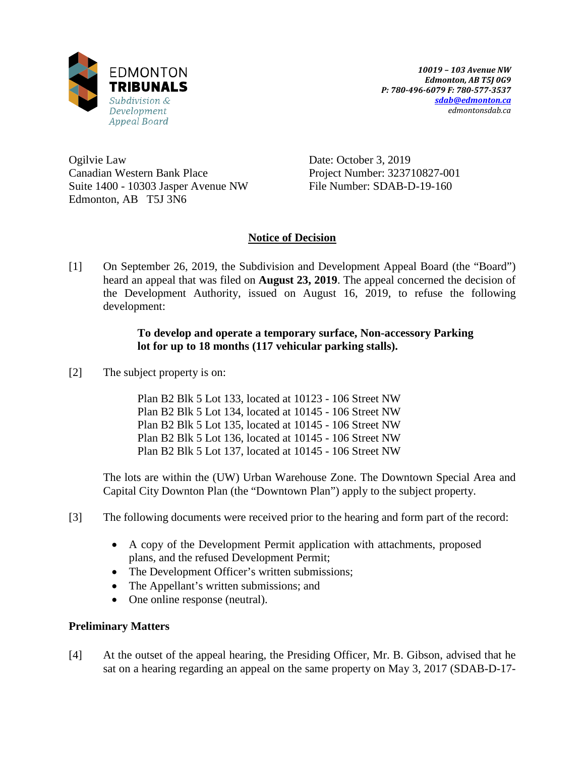

Ogilvie Law Canadian Western Bank Place Suite 1400 - 10303 Jasper Avenue NW Edmonton, AB T5J 3N6

Date: October 3, 2019 Project Number: 323710827-001 File Number: SDAB-D-19-160

# **Notice of Decision**

[1] On September 26, 2019, the Subdivision and Development Appeal Board (the "Board") heard an appeal that was filed on **August 23, 2019**. The appeal concerned the decision of the Development Authority, issued on August 16, 2019, to refuse the following development:

## **To develop and operate a temporary surface, Non-accessory Parking lot for up to 18 months (117 vehicular parking stalls).**

[2] The subject property is on:

Plan B2 Blk 5 Lot 133, located at 10123 - 106 Street NW Plan B2 Blk 5 Lot 134, located at 10145 - 106 Street NW Plan B2 Blk 5 Lot 135, located at 10145 - 106 Street NW Plan B2 Blk 5 Lot 136, located at 10145 - 106 Street NW Plan B2 Blk 5 Lot 137, located at 10145 - 106 Street NW

The lots are within the (UW) Urban Warehouse Zone. The Downtown Special Area and Capital City Downton Plan (the "Downtown Plan") apply to the subject property.

- [3] The following documents were received prior to the hearing and form part of the record:
	- A copy of the Development Permit application with attachments, proposed plans, and the refused Development Permit;
	- The Development Officer's written submissions;
	- The Appellant's written submissions; and
	- One online response (neutral).

# **Preliminary Matters**

[4] At the outset of the appeal hearing, the Presiding Officer, Mr. B. Gibson, advised that he sat on a hearing regarding an appeal on the same property on May 3, 2017 (SDAB-D-17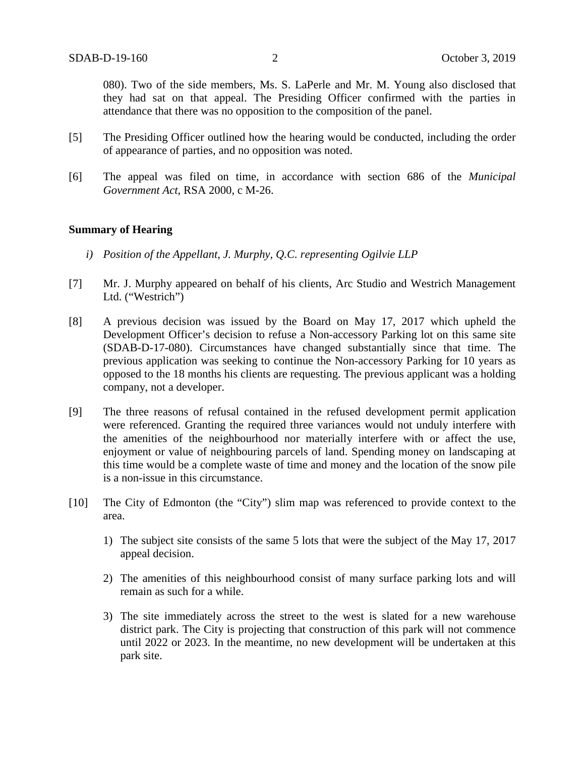080). Two of the side members, Ms. S. LaPerle and Mr. M. Young also disclosed that they had sat on that appeal. The Presiding Officer confirmed with the parties in attendance that there was no opposition to the composition of the panel.

- [5] The Presiding Officer outlined how the hearing would be conducted, including the order of appearance of parties, and no opposition was noted.
- [6] The appeal was filed on time, in accordance with section 686 of the *Municipal Government Act*, RSA 2000, c M-26.

#### **Summary of Hearing**

- *i) Position of the Appellant, J. Murphy, Q.C. representing Ogilvie LLP*
- [7] Mr. J. Murphy appeared on behalf of his clients, Arc Studio and Westrich Management Ltd. ("Westrich")
- [8] A previous decision was issued by the Board on May 17, 2017 which upheld the Development Officer's decision to refuse a Non-accessory Parking lot on this same site (SDAB-D-17-080). Circumstances have changed substantially since that time. The previous application was seeking to continue the Non-accessory Parking for 10 years as opposed to the 18 months his clients are requesting. The previous applicant was a holding company, not a developer.
- [9] The three reasons of refusal contained in the refused development permit application were referenced. Granting the required three variances would not unduly interfere with the amenities of the neighbourhood nor materially interfere with or affect the use, enjoyment or value of neighbouring parcels of land. Spending money on landscaping at this time would be a complete waste of time and money and the location of the snow pile is a non-issue in this circumstance.
- [10] The City of Edmonton (the "City") slim map was referenced to provide context to the area.
	- 1) The subject site consists of the same 5 lots that were the subject of the May 17, 2017 appeal decision.
	- 2) The amenities of this neighbourhood consist of many surface parking lots and will remain as such for a while.
	- 3) The site immediately across the street to the west is slated for a new warehouse district park. The City is projecting that construction of this park will not commence until 2022 or 2023. In the meantime, no new development will be undertaken at this park site.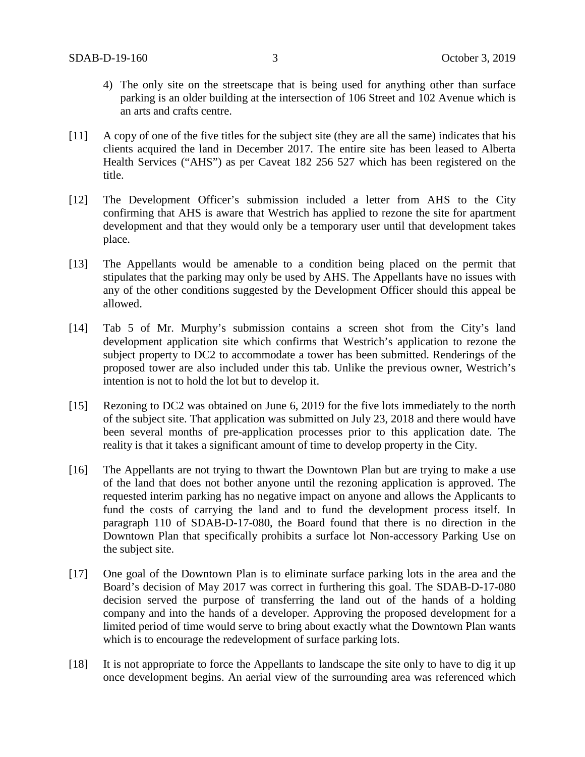- 4) The only site on the streetscape that is being used for anything other than surface parking is an older building at the intersection of 106 Street and 102 Avenue which is an arts and crafts centre.
- [11] A copy of one of the five titles for the subject site (they are all the same) indicates that his clients acquired the land in December 2017. The entire site has been leased to Alberta Health Services ("AHS") as per Caveat 182 256 527 which has been registered on the title.
- [12] The Development Officer's submission included a letter from AHS to the City confirming that AHS is aware that Westrich has applied to rezone the site for apartment development and that they would only be a temporary user until that development takes place.
- [13] The Appellants would be amenable to a condition being placed on the permit that stipulates that the parking may only be used by AHS. The Appellants have no issues with any of the other conditions suggested by the Development Officer should this appeal be allowed.
- [14] Tab 5 of Mr. Murphy's submission contains a screen shot from the City's land development application site which confirms that Westrich's application to rezone the subject property to DC2 to accommodate a tower has been submitted. Renderings of the proposed tower are also included under this tab. Unlike the previous owner, Westrich's intention is not to hold the lot but to develop it.
- [15] Rezoning to DC2 was obtained on June 6, 2019 for the five lots immediately to the north of the subject site. That application was submitted on July 23, 2018 and there would have been several months of pre-application processes prior to this application date. The reality is that it takes a significant amount of time to develop property in the City.
- [16] The Appellants are not trying to thwart the Downtown Plan but are trying to make a use of the land that does not bother anyone until the rezoning application is approved. The requested interim parking has no negative impact on anyone and allows the Applicants to fund the costs of carrying the land and to fund the development process itself. In paragraph 110 of SDAB-D-17-080, the Board found that there is no direction in the Downtown Plan that specifically prohibits a surface lot Non-accessory Parking Use on the subject site.
- [17] One goal of the Downtown Plan is to eliminate surface parking lots in the area and the Board's decision of May 2017 was correct in furthering this goal. The SDAB-D-17-080 decision served the purpose of transferring the land out of the hands of a holding company and into the hands of a developer. Approving the proposed development for a limited period of time would serve to bring about exactly what the Downtown Plan wants which is to encourage the redevelopment of surface parking lots.
- [18] It is not appropriate to force the Appellants to landscape the site only to have to dig it up once development begins. An aerial view of the surrounding area was referenced which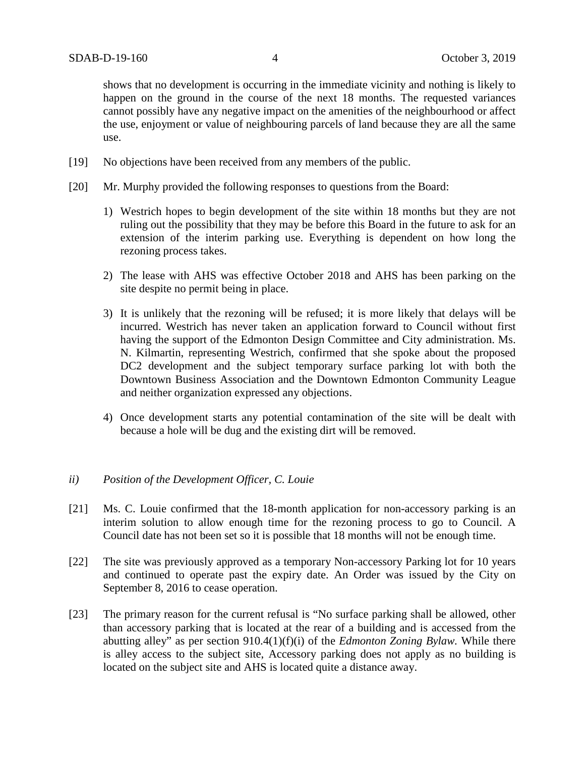shows that no development is occurring in the immediate vicinity and nothing is likely to happen on the ground in the course of the next 18 months. The requested variances cannot possibly have any negative impact on the amenities of the neighbourhood or affect the use, enjoyment or value of neighbouring parcels of land because they are all the same use.

- [19] No objections have been received from any members of the public.
- [20] Mr. Murphy provided the following responses to questions from the Board:
	- 1) Westrich hopes to begin development of the site within 18 months but they are not ruling out the possibility that they may be before this Board in the future to ask for an extension of the interim parking use. Everything is dependent on how long the rezoning process takes.
	- 2) The lease with AHS was effective October 2018 and AHS has been parking on the site despite no permit being in place.
	- 3) It is unlikely that the rezoning will be refused; it is more likely that delays will be incurred. Westrich has never taken an application forward to Council without first having the support of the Edmonton Design Committee and City administration. Ms. N. Kilmartin, representing Westrich, confirmed that she spoke about the proposed DC2 development and the subject temporary surface parking lot with both the Downtown Business Association and the Downtown Edmonton Community League and neither organization expressed any objections.
	- 4) Once development starts any potential contamination of the site will be dealt with because a hole will be dug and the existing dirt will be removed.

#### *ii) Position of the Development Officer, C. Louie*

- [21] Ms. C. Louie confirmed that the 18-month application for non-accessory parking is an interim solution to allow enough time for the rezoning process to go to Council. A Council date has not been set so it is possible that 18 months will not be enough time.
- [22] The site was previously approved as a temporary Non-accessory Parking lot for 10 years and continued to operate past the expiry date. An Order was issued by the City on September 8, 2016 to cease operation.
- [23] The primary reason for the current refusal is "No surface parking shall be allowed, other than accessory parking that is located at the rear of a building and is accessed from the abutting alley" as per section 910.4(1)(f)(i) of the *Edmonton Zoning Bylaw.* While there is alley access to the subject site, Accessory parking does not apply as no building is located on the subject site and AHS is located quite a distance away.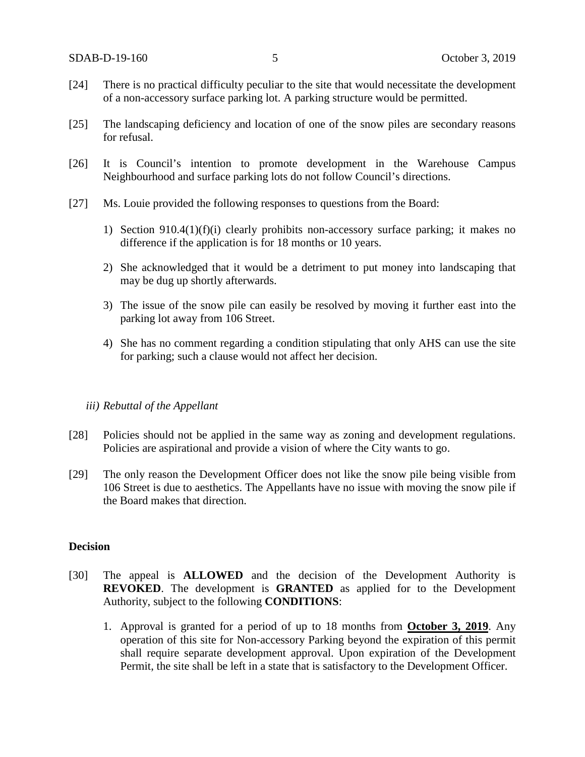- [24] There is no practical difficulty peculiar to the site that would necessitate the development of a non-accessory surface parking lot. A parking structure would be permitted.
- [25] The landscaping deficiency and location of one of the snow piles are secondary reasons for refusal.
- [26] It is Council's intention to promote development in the Warehouse Campus Neighbourhood and surface parking lots do not follow Council's directions.
- [27] Ms. Louie provided the following responses to questions from the Board:
	- 1) Section 910.4(1)(f)(i) clearly prohibits non-accessory surface parking; it makes no difference if the application is for 18 months or 10 years.
	- 2) She acknowledged that it would be a detriment to put money into landscaping that may be dug up shortly afterwards.
	- 3) The issue of the snow pile can easily be resolved by moving it further east into the parking lot away from 106 Street.
	- 4) She has no comment regarding a condition stipulating that only AHS can use the site for parking; such a clause would not affect her decision.

#### *iii) Rebuttal of the Appellant*

- [28] Policies should not be applied in the same way as zoning and development regulations. Policies are aspirational and provide a vision of where the City wants to go.
- [29] The only reason the Development Officer does not like the snow pile being visible from 106 Street is due to aesthetics. The Appellants have no issue with moving the snow pile if the Board makes that direction.

## **Decision**

- [30] The appeal is **ALLOWED** and the decision of the Development Authority is **REVOKED**. The development is **GRANTED** as applied for to the Development Authority, subject to the following **CONDITIONS**:
	- 1. Approval is granted for a period of up to 18 months from **October 3, 2019**. Any operation of this site for Non-accessory Parking beyond the expiration of this permit shall require separate development approval. Upon expiration of the Development Permit, the site shall be left in a state that is satisfactory to the Development Officer.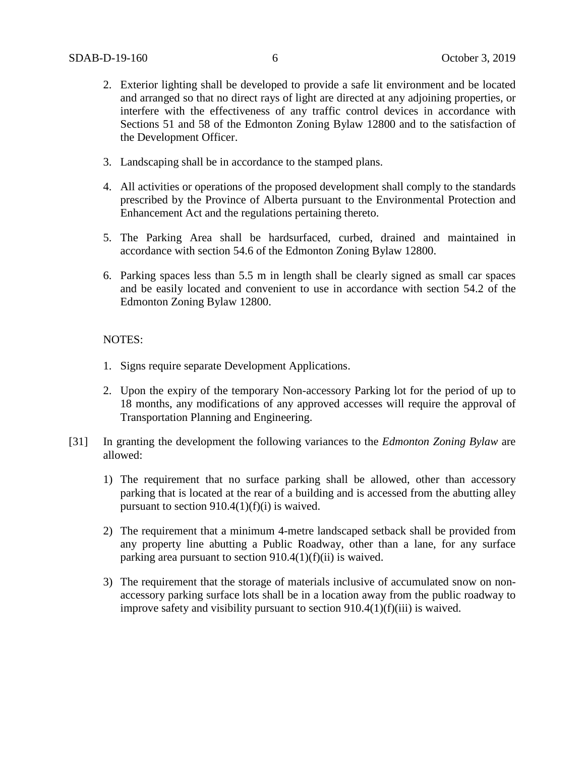- 2. Exterior lighting shall be developed to provide a safe lit environment and be located and arranged so that no direct rays of light are directed at any adjoining properties, or interfere with the effectiveness of any traffic control devices in accordance with Sections 51 and 58 of the Edmonton Zoning Bylaw 12800 and to the satisfaction of the Development Officer.
- 3. Landscaping shall be in accordance to the stamped plans.
- 4. All activities or operations of the proposed development shall comply to the standards prescribed by the Province of Alberta pursuant to the Environmental Protection and Enhancement Act and the regulations pertaining thereto.
- 5. The Parking Area shall be hardsurfaced, curbed, drained and maintained in accordance with section 54.6 of the Edmonton Zoning Bylaw 12800.
- 6. Parking spaces less than 5.5 m in length shall be clearly signed as small car spaces and be easily located and convenient to use in accordance with section 54.2 of the Edmonton Zoning Bylaw 12800.

### NOTES:

- 1. Signs require separate Development Applications.
- 2. Upon the expiry of the temporary Non-accessory Parking lot for the period of up to 18 months, any modifications of any approved accesses will require the approval of Transportation Planning and Engineering.
- [31] In granting the development the following variances to the *Edmonton Zoning Bylaw* are allowed:
	- 1) The requirement that no surface parking shall be allowed, other than accessory parking that is located at the rear of a building and is accessed from the abutting alley pursuant to section  $910.4(1)(f)(i)$  is waived.
	- 2) The requirement that a minimum 4-metre landscaped setback shall be provided from any property line abutting a Public Roadway, other than a lane, for any surface parking area pursuant to section 910.4(1)(f)(ii) is waived.
	- 3) The requirement that the storage of materials inclusive of accumulated snow on nonaccessory parking surface lots shall be in a location away from the public roadway to improve safety and visibility pursuant to section 910.4(1)(f)(iii) is waived.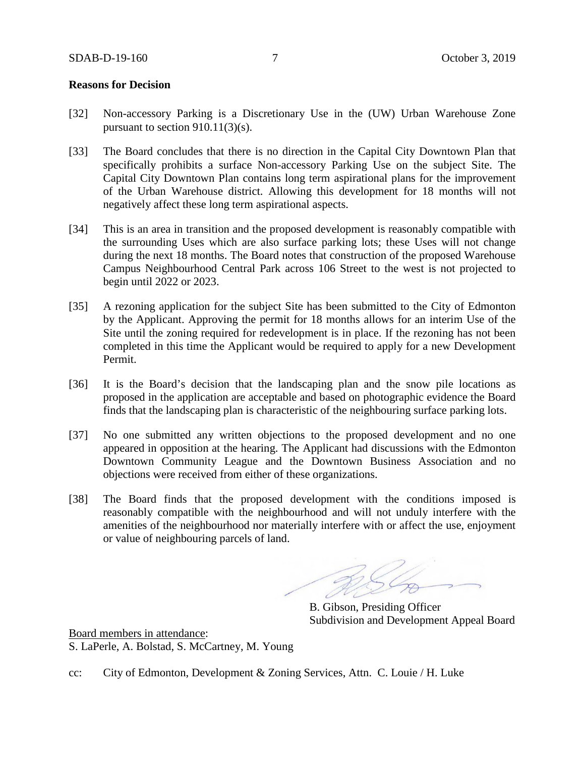### **Reasons for Decision**

- [32] Non-accessory Parking is a Discretionary Use in the (UW) Urban Warehouse Zone pursuant to section 910.11(3)(s).
- [33] The Board concludes that there is no direction in the Capital City Downtown Plan that specifically prohibits a surface Non-accessory Parking Use on the subject Site. The Capital City Downtown Plan contains long term aspirational plans for the improvement of the Urban Warehouse district. Allowing this development for 18 months will not negatively affect these long term aspirational aspects.
- [34] This is an area in transition and the proposed development is reasonably compatible with the surrounding Uses which are also surface parking lots; these Uses will not change during the next 18 months. The Board notes that construction of the proposed Warehouse Campus Neighbourhood Central Park across 106 Street to the west is not projected to begin until 2022 or 2023.
- [35] A rezoning application for the subject Site has been submitted to the City of Edmonton by the Applicant. Approving the permit for 18 months allows for an interim Use of the Site until the zoning required for redevelopment is in place. If the rezoning has not been completed in this time the Applicant would be required to apply for a new Development Permit.
- [36] It is the Board's decision that the landscaping plan and the snow pile locations as proposed in the application are acceptable and based on photographic evidence the Board finds that the landscaping plan is characteristic of the neighbouring surface parking lots.
- [37] No one submitted any written objections to the proposed development and no one appeared in opposition at the hearing. The Applicant had discussions with the Edmonton Downtown Community League and the Downtown Business Association and no objections were received from either of these organizations.
- [38] The Board finds that the proposed development with the conditions imposed is reasonably compatible with the neighbourhood and will not unduly interfere with the amenities of the neighbourhood nor materially interfere with or affect the use, enjoyment or value of neighbouring parcels of land.

B. Gibson, Presiding Officer Subdivision and Development Appeal Board

Board members in attendance: S. LaPerle, A. Bolstad, S. McCartney, M. Young

cc: City of Edmonton, Development & Zoning Services, Attn. C. Louie / H. Luke